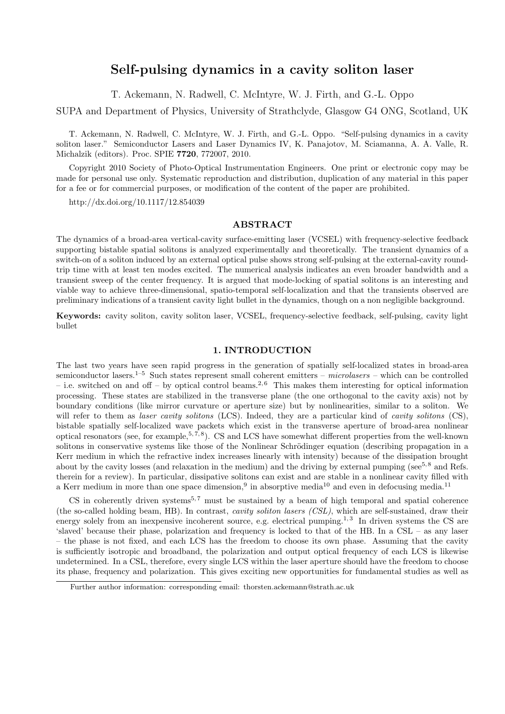# Self-pulsing dynamics in a cavity soliton laser

T. Ackemann, N. Radwell, C. McIntyre, W. J. Firth, and G.-L. Oppo

SUPA and Department of Physics, University of Strathclyde, Glasgow G4 ONG, Scotland, UK

T. Ackemann, N. Radwell, C. McIntyre, W. J. Firth, and G.-L. Oppo. "Self-pulsing dynamics in a cavity soliton laser." Semiconductor Lasers and Laser Dynamics IV, K. Panajotov, M. Sciamanna, A. A. Valle, R. Michalzik (editors). Proc. SPIE 7720, 772007, 2010.

Copyright 2010 Society of Photo-Optical Instrumentation Engineers. One print or electronic copy may be made for personal use only. Systematic reproduction and distribution, duplication of any material in this paper for a fee or for commercial purposes, or modification of the content of the paper are prohibited.

http://dx.doi.org/10.1117/12.854039

# ABSTRACT

The dynamics of a broad-area vertical-cavity surface-emitting laser (VCSEL) with frequency-selective feedback supporting bistable spatial solitons is analyzed experimentally and theoretically. The transient dynamics of a switch-on of a soliton induced by an external optical pulse shows strong self-pulsing at the external-cavity roundtrip time with at least ten modes excited. The numerical analysis indicates an even broader bandwidth and a transient sweep of the center frequency. It is argued that mode-locking of spatial solitons is an interesting and viable way to achieve three-dimensional, spatio-temporal self-localization and that the transients observed are preliminary indications of a transient cavity light bullet in the dynamics, though on a non negligible background.

Keywords: cavity soliton, cavity soliton laser, VCSEL, frequency-selective feedback, self-pulsing, cavity light bullet

# 1. INTRODUCTION

The last two years have seen rapid progress in the generation of spatially self-localized states in broad-area semiconductor lasers.<sup>1–5</sup> Such states represent small coherent emitters – microlasers – which can be controlled – i.e. switched on and off – by optical control beams.<sup>2,6</sup> This makes them interesting for optical information processing. These states are stabilized in the transverse plane (the one orthogonal to the cavity axis) not by boundary conditions (like mirror curvature or aperture size) but by nonlinearities, similar to a soliton. We will refer to them as *laser cavity solitons* (LCS). Indeed, they are a particular kind of *cavity solitons* (CS), bistable spatially self-localized wave packets which exist in the transverse aperture of broad-area nonlinear optical resonators (see, for example,  $5, 7, 8$ ). CS and LCS have somewhat different properties from the well-known solitons in conservative systems like those of the Nonlinear Schrödinger equation (describing propagation in a Kerr medium in which the refractive index increases linearly with intensity) because of the dissipation brought about by the cavity losses (and relaxation in the medium) and the driving by external pumping (see<sup>5,8</sup> and Refs. therein for a review). In particular, dissipative solitons can exist and are stable in a nonlinear cavity filled with a Kerr medium in more than one space dimension,<sup>9</sup> in absorptive media<sup>10</sup> and even in defocusing media.<sup>11</sup>

 $CS$  in coherently driven systems<sup>5,7</sup> must be sustained by a beam of high temporal and spatial coherence (the so-called holding beam, HB). In contrast, cavity soliton lasers (CSL), which are self-sustained, draw their energy solely from an inexpensive incoherent source, e.g. electrical pumping.<sup>1,3</sup> In driven systems the CS are 'slaved' because their phase, polarization and frequency is locked to that of the HB. In a CSL – as any laser – the phase is not fixed, and each LCS has the freedom to choose its own phase. Assuming that the cavity is sufficiently isotropic and broadband, the polarization and output optical frequency of each LCS is likewise undetermined. In a CSL, therefore, every single LCS within the laser aperture should have the freedom to choose its phase, frequency and polarization. This gives exciting new opportunities for fundamental studies as well as

Further author information: corresponding email: thorsten.ackemann@strath.ac.uk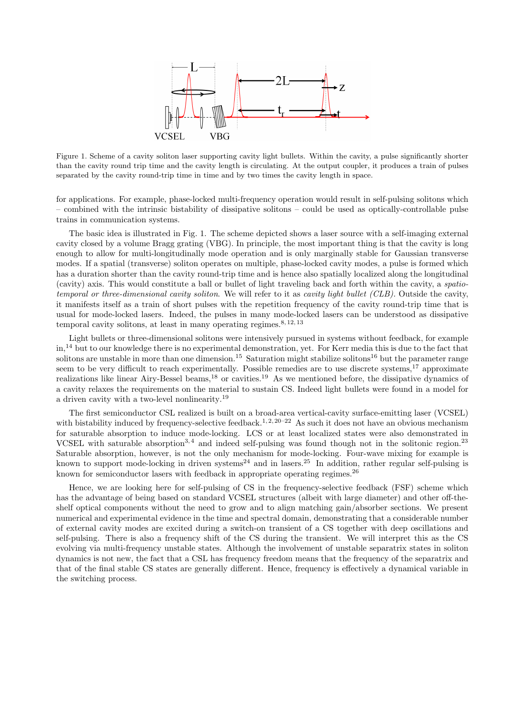

Figure 1. Scheme of a cavity soliton laser supporting cavity light bullets. Within the cavity, a pulse significantly shorter than the cavity round trip time and the cavity length is circulating. At the output coupler, it produces a train of pulses separated by the cavity round-trip time in time and by two times the cavity length in space.

for applications. For example, phase-locked multi-frequency operation would result in self-pulsing solitons which – combined with the intrinsic bistability of dissipative solitons – could be used as optically-controllable pulse trains in communication systems.

The basic idea is illustrated in Fig. 1. The scheme depicted shows a laser source with a self-imaging external cavity closed by a volume Bragg grating (VBG). In principle, the most important thing is that the cavity is long enough to allow for multi-longitudinally mode operation and is only marginally stable for Gaussian transverse modes. If a spatial (transverse) soliton operates on multiple, phase-locked cavity modes, a pulse is formed which has a duration shorter than the cavity round-trip time and is hence also spatially localized along the longitudinal (cavity) axis. This would constitute a ball or bullet of light traveling back and forth within the cavity, a spatiotemporal or three-dimensional cavity soliton. We will refer to it as cavity light bullet (CLB). Outside the cavity, it manifests itself as a train of short pulses with the repetition frequency of the cavity round-trip time that is usual for mode-locked lasers. Indeed, the pulses in many mode-locked lasers can be understood as dissipative temporal cavity solitons, at least in many operating regimes.  $8,12,13$ 

Light bullets or three-dimensional solitons were intensively pursued in systems without feedback, for example  $in,$ <sup>14</sup> but to our knowledge there is no experimental demonstration, yet. For Kerr media this is due to the fact that solitons are unstable in more than one dimension.<sup>15</sup> Saturation might stabilize solitons<sup>16</sup> but the parameter range seem to be very difficult to reach experimentally. Possible remedies are to use discrete systems,<sup>17</sup> approximate realizations like linear Airy-Bessel beams,<sup>18</sup> or cavities.<sup>19</sup> As we mentioned before, the dissipative dynamics of a cavity relaxes the requirements on the material to sustain CS. Indeed light bullets were found in a model for a driven cavity with a two-level nonlinearity.<sup>19</sup>

The first semiconductor CSL realized is built on a broad-area vertical-cavity surface-emitting laser (VCSEL) with bistability induced by frequency-selective feedback.<sup>1, 2, 20–22</sup> As such it does not have an obvious mechanism for saturable absorption to induce mode-locking. LCS or at least localized states were also demonstrated in VCSEL with saturable absorption<sup>3,4</sup> and indeed self-pulsing was found though not in the solitonic region.<sup>23</sup> Saturable absorption, however, is not the only mechanism for mode-locking. Four-wave mixing for example is known to support mode-locking in driven systems<sup>24</sup> and in lasers.<sup>25</sup> In addition, rather regular self-pulsing is known for semiconductor lasers with feedback in appropriate operating regimes.<sup>26</sup>

Hence, we are looking here for self-pulsing of CS in the frequency-selective feedback (FSF) scheme which has the advantage of being based on standard VCSEL structures (albeit with large diameter) and other off-theshelf optical components without the need to grow and to align matching gain/absorber sections. We present numerical and experimental evidence in the time and spectral domain, demonstrating that a considerable number of external cavity modes are excited during a switch-on transient of a CS together with deep oscillations and self-pulsing. There is also a frequency shift of the CS during the transient. We will interpret this as the CS evolving via multi-frequency unstable states. Although the involvement of unstable separatrix states in soliton dynamics is not new, the fact that a CSL has frequency freedom means that the frequency of the separatrix and that of the final stable CS states are generally different. Hence, frequency is effectively a dynamical variable in the switching process.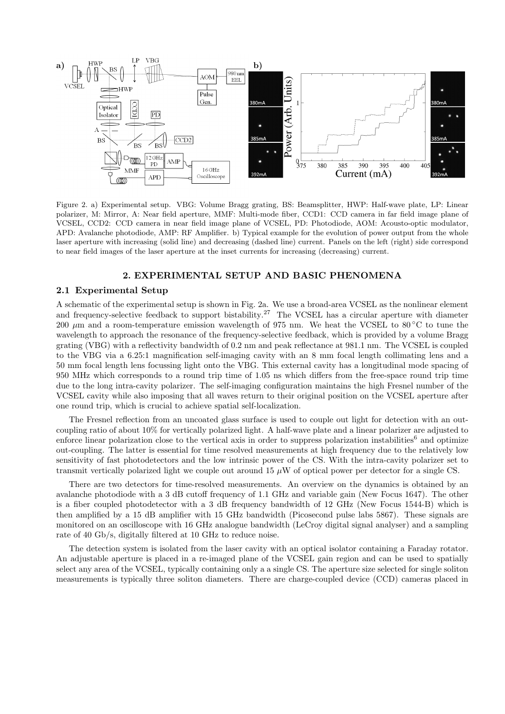

Figure 2. a) Experimental setup. VBG: Volume Bragg grating, BS: Beamsplitter, HWP: Half-wave plate, LP: Linear polarizer, M: Mirror, A: Near field aperture, MMF: Multi-mode fiber, CCD1: CCD camera in far field image plane of VCSEL, CCD2: CCD camera in near field image plane of VCSEL, PD: Photodiode, AOM: Acousto-optic modulator, APD: Avalanche photodiode, AMP: RF Amplifier. b) Typical example for the evolution of power output from the whole laser aperture with increasing (solid line) and decreasing (dashed line) current. Panels on the left (right) side correspond to near field images of the laser aperture at the inset currents for increasing (decreasing) current.

### 2. EXPERIMENTAL SETUP AND BASIC PHENOMENA

#### 2.1 Experimental Setup

A schematic of the experimental setup is shown in Fig. 2a. We use a broad-area VCSEL as the nonlinear element and frequency-selective feedback to support bistability.<sup>27</sup> The VCSEL has a circular aperture with diameter 200  $\mu$ m and a room-temperature emission wavelength of 975 nm. We heat the VCSEL to 80 °C to tune the wavelength to approach the resonance of the frequency-selective feedback, which is provided by a volume Bragg grating (VBG) with a reflectivity bandwidth of 0.2 nm and peak reflectance at 981.1 nm. The VCSEL is coupled to the VBG via a 6.25:1 magnification self-imaging cavity with an 8 mm focal length collimating lens and a 50 mm focal length lens focussing light onto the VBG. This external cavity has a longitudinal mode spacing of 950 MHz which corresponds to a round trip time of 1.05 ns which differs from the free-space round trip time due to the long intra-cavity polarizer. The self-imaging configuration maintains the high Fresnel number of the VCSEL cavity while also imposing that all waves return to their original position on the VCSEL aperture after one round trip, which is crucial to achieve spatial self-localization.

The Fresnel reflection from an uncoated glass surface is used to couple out light for detection with an outcoupling ratio of about 10% for vertically polarized light. A half-wave plate and a linear polarizer are adjusted to enforce linear polarization close to the vertical axis in order to suppress polarization instabilities<sup>6</sup> and optimize out-coupling. The latter is essential for time resolved measurements at high frequency due to the relatively low sensitivity of fast photodetectors and the low intrinsic power of the CS. With the intra-cavity polarizer set to transmit vertically polarized light we couple out around 15  $\mu$ W of optical power per detector for a single CS.

There are two detectors for time-resolved measurements. An overview on the dynamics is obtained by an avalanche photodiode with a 3 dB cutoff frequency of 1.1 GHz and variable gain (New Focus 1647). The other is a fiber coupled photodetector with a 3 dB frequency bandwidth of 12 GHz (New Focus 1544-B) which is then amplified by a 15 dB amplifier with 15 GHz bandwidth (Picosecond pulse labs 5867). These signals are monitored on an oscilloscope with 16 GHz analogue bandwidth (LeCroy digital signal analyser) and a sampling rate of 40 Gb/s, digitally filtered at 10 GHz to reduce noise.

The detection system is isolated from the laser cavity with an optical isolator containing a Faraday rotator. An adjustable aperture is placed in a re-imaged plane of the VCSEL gain region and can be used to spatially select any area of the VCSEL, typically containing only a a single CS. The aperture size selected for single soliton measurements is typically three soliton diameters. There are charge-coupled device (CCD) cameras placed in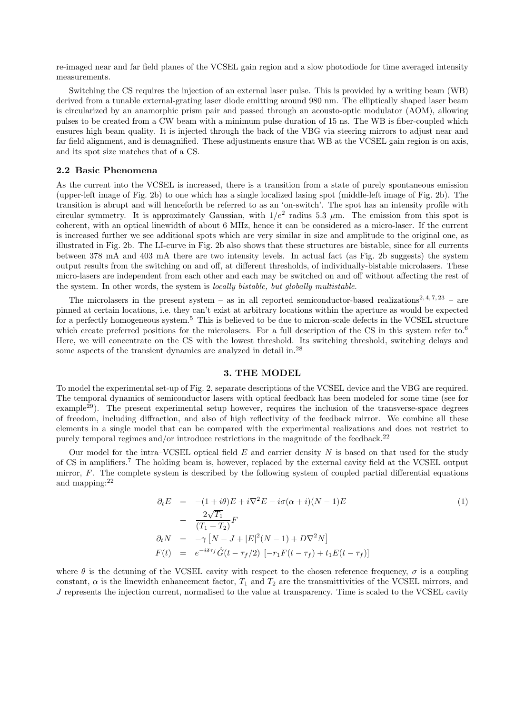re-imaged near and far field planes of the VCSEL gain region and a slow photodiode for time averaged intensity measurements.

Switching the CS requires the injection of an external laser pulse. This is provided by a writing beam (WB) derived from a tunable external-grating laser diode emitting around 980 nm. The elliptically shaped laser beam is circularized by an anamorphic prism pair and passed through an acousto-optic modulator (AOM), allowing pulses to be created from a CW beam with a minimum pulse duration of 15 ns. The WB is fiber-coupled which ensures high beam quality. It is injected through the back of the VBG via steering mirrors to adjust near and far field alignment, and is demagnified. These adjustments ensure that WB at the VCSEL gain region is on axis, and its spot size matches that of a CS.

### 2.2 Basic Phenomena

As the current into the VCSEL is increased, there is a transition from a state of purely spontaneous emission (upper-left image of Fig. 2b) to one which has a single localized lasing spot (middle-left image of Fig. 2b). The transition is abrupt and will henceforth be referred to as an 'on-switch'. The spot has an intensity profile with circular symmetry. It is approximately Gaussian, with  $1/e^2$  radius 5.3  $\mu$ m. The emission from this spot is coherent, with an optical linewidth of about 6 MHz, hence it can be considered as a micro-laser. If the current is increased further we see additional spots which are very similar in size and amplitude to the original one, as illustrated in Fig. 2b. The LI-curve in Fig. 2b also shows that these structures are bistable, since for all currents between 378 mA and 403 mA there are two intensity levels. In actual fact (as Fig. 2b suggests) the system output results from the switching on and off, at different thresholds, of individually-bistable microlasers. These micro-lasers are independent from each other and each may be switched on and off without affecting the rest of the system. In other words, the system is locally bistable, but globally multistable.

The microlasers in the present system – as in all reported semiconductor-based realizations<sup>2, 4, 7, 23</sup> – are pinned at certain locations, i.e. they can't exist at arbitrary locations within the aperture as would be expected for a perfectly homogeneous system.<sup>5</sup> This is believed to be due to micron-scale defects in the VCSEL structure which create preferred positions for the microlasers. For a full description of the CS in this system refer to.<sup>6</sup> Here, we will concentrate on the CS with the lowest threshold. Its switching threshold, switching delays and some aspects of the transient dynamics are analyzed in detail in.<sup>28</sup>

#### 3. THE MODEL

To model the experimental set-up of Fig. 2, separate descriptions of the VCSEL device and the VBG are required. The temporal dynamics of semiconductor lasers with optical feedback has been modeled for some time (see for example29). The present experimental setup however, requires the inclusion of the transverse-space degrees of freedom, including diffraction, and also of high reflectivity of the feedback mirror. We combine all these elements in a single model that can be compared with the experimental realizations and does not restrict to purely temporal regimes and/or introduce restrictions in the magnitude of the feedback.<sup>22</sup>

Our model for the intra–VCSEL optical field  $E$  and carrier density  $N$  is based on that used for the study of CS in amplifiers.<sup>7</sup> The holding beam is, however, replaced by the external cavity field at the VCSEL output mirror, F. The complete system is described by the following system of coupled partial differential equations and mapping:  $22$ 

$$
\partial_t E = -(1 + i\theta)E + i\nabla^2 E - i\sigma(\alpha + i)(N - 1)E \n+ \frac{2\sqrt{T_1}}{(T_1 + T_2)}F \n\partial_t N = -\gamma [N - J + |E|^2(N - 1) + D\nabla^2 N] \nF(t) = e^{-i\delta\tau_f} \hat{G}(t - \tau_f/2) [-r_1 F(t - \tau_f) + t_1 E(t - \tau_f)]
$$
\n(1)

where  $\theta$  is the detuning of the VCSEL cavity with respect to the chosen reference frequency,  $\sigma$  is a coupling constant,  $\alpha$  is the linewidth enhancement factor,  $T_1$  and  $T_2$  are the transmittivities of the VCSEL mirrors, and J represents the injection current, normalised to the value at transparency. Time is scaled to the VCSEL cavity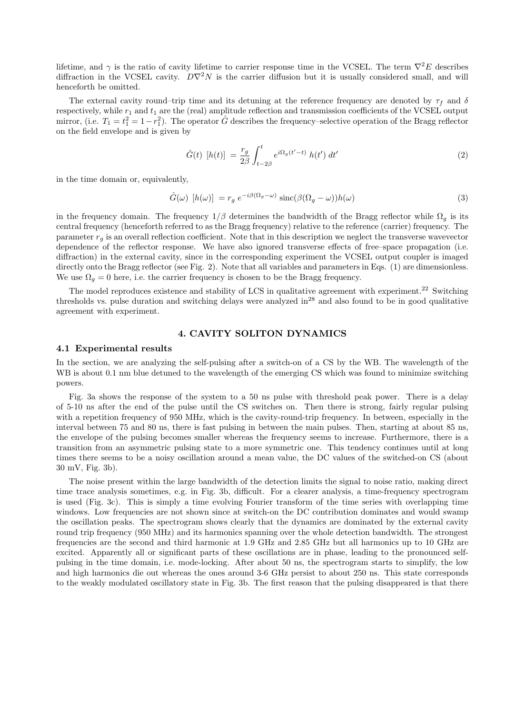lifetime, and  $\gamma$  is the ratio of cavity lifetime to carrier response time in the VCSEL. The term  $\nabla^2 E$  describes diffraction in the VCSEL cavity.  $D\nabla^2 N$  is the carrier diffusion but it is usually considered small, and will henceforth be omitted.

The external cavity round–trip time and its detuning at the reference frequency are denoted by  $\tau_f$  and  $\delta$ respectively, while  $r_1$  and  $t_1$  are the (real) amplitude reflection and transmission coefficients of the VCSEL output mirror, (i.e.  $T_1 = t_1^2 = 1 - r_1^2$ ). The operator  $\hat{G}$  describes the frequency–selective operation of the Bragg reflector on the field envelope and is given by

$$
\hat{G}(t) [h(t)] = \frac{r_g}{2\beta} \int_{t-2\beta}^{t} e^{i\Omega_g(t'-t)} h(t') dt'
$$
\n(2)

in the time domain or, equivalently,

$$
\hat{G}(\omega) \left[ h(\omega) \right] = r_g \ e^{-i\beta(\Omega_g - \omega)} \operatorname{sinc}(\beta(\Omega_g - \omega)) h(\omega) \tag{3}
$$

in the frequency domain. The frequency  $1/\beta$  determines the bandwidth of the Bragg reflector while  $\Omega_g$  is its central frequency (henceforth referred to as the Bragg frequency) relative to the reference (carrier) frequency. The parameter  $r<sub>g</sub>$  is an overall reflection coefficient. Note that in this description we neglect the transverse wavevector dependence of the reflector response. We have also ignored transverse effects of free–space propagation (i.e. diffraction) in the external cavity, since in the corresponding experiment the VCSEL output coupler is imaged directly onto the Bragg reflector (see Fig. 2). Note that all variables and parameters in Eqs. (1) are dimensionless. We use  $\Omega_g = 0$  here, i.e. the carrier frequency is chosen to be the Bragg frequency.

The model reproduces existence and stability of LCS in qualitative agreement with experiment.<sup>22</sup> Switching thresholds vs. pulse duration and switching delays were analyzed  $\ln^{28}$  and also found to be in good qualitative agreement with experiment.

# 4. CAVITY SOLITON DYNAMICS

#### 4.1 Experimental results

In the section, we are analyzing the self-pulsing after a switch-on of a CS by the WB. The wavelength of the WB is about 0.1 nm blue detuned to the wavelength of the emerging CS which was found to minimize switching powers.

Fig. 3a shows the response of the system to a 50 ns pulse with threshold peak power. There is a delay of 5-10 ns after the end of the pulse until the CS switches on. Then there is strong, fairly regular pulsing with a repetition frequency of 950 MHz, which is the cavity-round-trip frequency. In between, especially in the interval between 75 and 80 ns, there is fast pulsing in between the main pulses. Then, starting at about 85 ns, the envelope of the pulsing becomes smaller whereas the frequency seems to increase. Furthermore, there is a transition from an asymmetric pulsing state to a more symmetric one. This tendency continues until at long times there seems to be a noisy oscillation around a mean value, the DC values of the switched-on CS (about 30 mV, Fig. 3b).

The noise present within the large bandwidth of the detection limits the signal to noise ratio, making direct time trace analysis sometimes, e.g. in Fig. 3b, difficult. For a clearer analysis, a time-frequency spectrogram is used (Fig. 3c). This is simply a time evolving Fourier transform of the time series with overlapping time windows. Low frequencies are not shown since at switch-on the DC contribution dominates and would swamp the oscillation peaks. The spectrogram shows clearly that the dynamics are dominated by the external cavity round trip frequency (950 MHz) and its harmonics spanning over the whole detection bandwidth. The strongest frequencies are the second and third harmonic at 1.9 GHz and 2.85 GHz but all harmonics up to 10 GHz are excited. Apparently all or significant parts of these oscillations are in phase, leading to the pronounced selfpulsing in the time domain, i.e. mode-locking. After about 50 ns, the spectrogram starts to simplify, the low and high harmonics die out whereas the ones around 3-6 GHz persist to about 250 ns. This state corresponds to the weakly modulated oscillatory state in Fig. 3b. The first reason that the pulsing disappeared is that there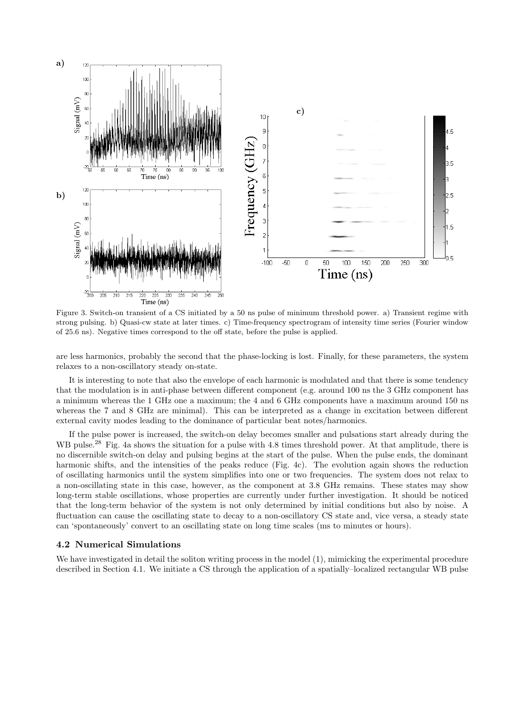

Figure 3. Switch-on transient of a CS initiated by a 50 ns pulse of minimum threshold power. a) Transient regime with strong pulsing. b) Quasi-cw state at later times. c) Time-frequency spectrogram of intensity time series (Fourier window of 25.6 ns). Negative times correspond to the off state, before the pulse is applied.

are less harmonics, probably the second that the phase-locking is lost. Finally, for these parameters, the system relaxes to a non-oscillatory steady on-state.

It is interesting to note that also the envelope of each harmonic is modulated and that there is some tendency that the modulation is in anti-phase between different component (e.g. around 100 ns the 3 GHz component has a minimum whereas the 1 GHz one a maximum; the 4 and 6 GHz components have a maximum around 150 ns whereas the 7 and 8 GHz are minimal). This can be interpreted as a change in excitation between different external cavity modes leading to the dominance of particular beat notes/harmonics.

If the pulse power is increased, the switch-on delay becomes smaller and pulsations start already during the WB pulse.<sup>28</sup> Fig. 4a shows the situation for a pulse with 4.8 times threshold power. At that amplitude, there is no discernible switch-on delay and pulsing begins at the start of the pulse. When the pulse ends, the dominant harmonic shifts, and the intensities of the peaks reduce (Fig. 4c). The evolution again shows the reduction of oscillating harmonics until the system simplifies into one or two frequencies. The system does not relax to a non-oscillating state in this case, however, as the component at 3.8 GHz remains. These states may show long-term stable oscillations, whose properties are currently under further investigation. It should be noticed that the long-term behavior of the system is not only determined by initial conditions but also by noise. A fluctuation can cause the oscillating state to decay to a non-oscillatory CS state and, vice versa, a steady state can 'spontaneously' convert to an oscillating state on long time scales (ms to minutes or hours).

### 4.2 Numerical Simulations

We have investigated in detail the soliton writing process in the model (1), mimicking the experimental procedure described in Section 4.1. We initiate a CS through the application of a spatially–localized rectangular WB pulse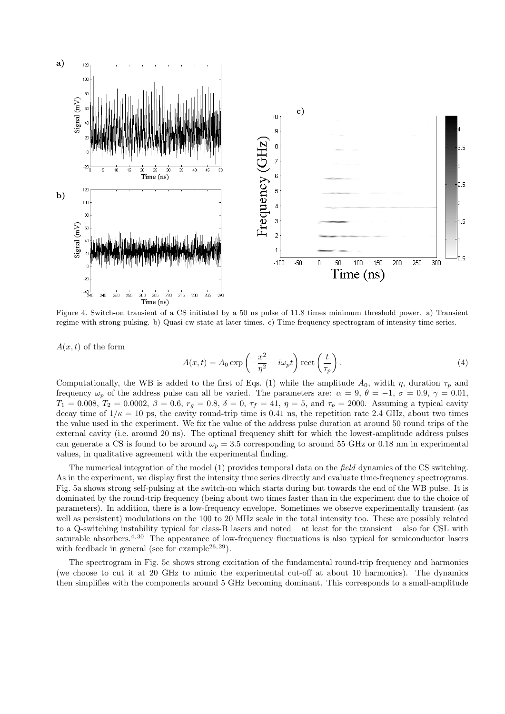

Figure 4. Switch-on transient of a CS initiated by a 50 ns pulse of 11.8 times minimum threshold power. a) Transient regime with strong pulsing. b) Quasi-cw state at later times. c) Time-frequency spectrogram of intensity time series.

 $A(x, t)$  of the form

$$
A(x,t) = A_0 \exp\left(-\frac{x^2}{\eta^2} - i\omega_p t\right) \operatorname{rect}\left(\frac{t}{\tau_p}\right). \tag{4}
$$

Computationally, the WB is added to the first of Eqs. (1) while the amplitude  $A_0$ , width  $\eta$ , duration  $\tau_p$  and frequency  $\omega_p$  of the address pulse can all be varied. The parameters are:  $\alpha = 9$ ,  $\theta = -1$ ,  $\sigma = 0.9$ ,  $\gamma = 0.01$ ,  $T_1 = 0.008, T_2 = 0.0002, \beta = 0.6, r_q = 0.8, \delta = 0, \tau_f = 41, \eta = 5$ , and  $\tau_p = 2000$ . Assuming a typical cavity decay time of  $1/\kappa = 10$  ps, the cavity round-trip time is 0.41 ns, the repetition rate 2.4 GHz, about two times the value used in the experiment. We fix the value of the address pulse duration at around 50 round trips of the external cavity (i.e. around 20 ns). The optimal frequency shift for which the lowest-amplitude address pulses can generate a CS is found to be around  $\omega_p = 3.5$  corresponding to around 55 GHz or 0.18 nm in experimental values, in qualitative agreement with the experimental finding.

The numerical integration of the model (1) provides temporal data on the field dynamics of the CS switching. As in the experiment, we display first the intensity time series directly and evaluate time-frequency spectrograms. Fig. 5a shows strong self-pulsing at the switch-on which starts during but towards the end of the WB pulse. It is dominated by the round-trip frequency (being about two times faster than in the experiment due to the choice of parameters). In addition, there is a low-frequency envelope. Sometimes we observe experimentally transient (as well as persistent) modulations on the 100 to 20 MHz scale in the total intensity too. These are possibly related to a Q-switching instability typical for class-B lasers and noted – at least for the transient – also for CSL with saturable absorbers.<sup>4, 30</sup> The appearance of low-frequency fluctuations is also typical for semiconductor lasers with feedback in general (see for example<sup>26, 29</sup>).

The spectrogram in Fig. 5c shows strong excitation of the fundamental round-trip frequency and harmonics (we choose to cut it at 20 GHz to mimic the experimental cut-off at about 10 harmonics). The dynamics then simplifies with the components around 5 GHz becoming dominant. This corresponds to a small-amplitude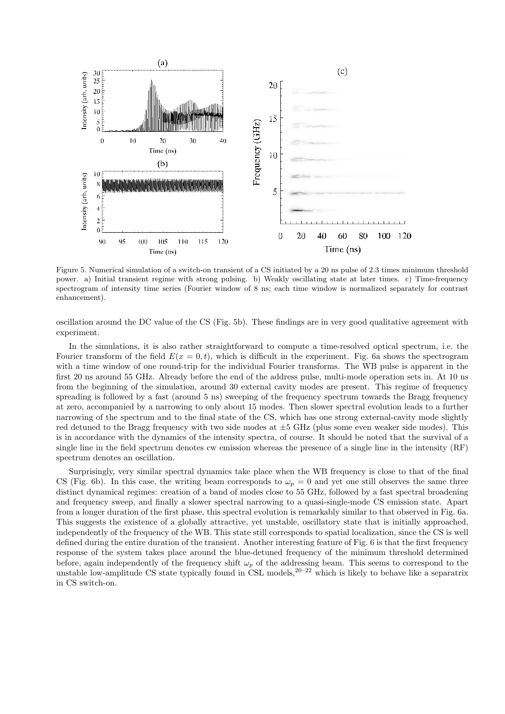

Figure 5. Numerical simulation of a switch-on transient of a CS initiated by a 20 ns pulse of 2.3 times minimum threshold power. a) Initial transient regime with strong pulsing. b) Weakly oscillating state at later times. c) Time-frequency spectrogram of intensity time series (Fourier window of 8 ns; each time window is normalized separately for contrast enhancement).

oscillation around the DC value of the CS (Fig. 5b). These findings are in very good qualitative agreement with experiment.

In the simulations, it is also rather straightforward to compute a time-resolved optical spectrum, i.e. the Fourier transform of the field  $E(x = 0, t)$ , which is difficult in the experiment. Fig. 6a shows the spectrogram with a time window of one round-trip for the individual Fourier transforms. The WB pulse is apparent in the first 20 ns around 55 GHz. Already before the end of the address pulse, multi-mode operation sets in. At 10 ns from the beginning of the simulation, around 30 external cavity modes are present. This regime of frequency spreading is followed by a fast (around 5 ns) sweeping of the frequency spectrum towards the Bragg frequency at zero, accompanied by a narrowing to only about 15 modes. Then slower spectral evolution leads to a further narrowing of the spectrum and to the final state of the CS, which has one strong external-cavity mode slightly red detuned to the Bragg frequency with two side modes at  $\pm 5$  GHz (plus some even weaker side modes). This is in accordance with the dynamics of the intensity spectra, of course. It should be noted that the survival of a single line in the field spectrum denotes cw emission whereas the presence of a single line in the intensity (RF) spectrum denotes an oscillation.

Surprisingly, very similar spectral dynamics take place when the WB frequency is close to that of the final CS (Fig. 6b). In this case, the writing beam corresponds to  $\omega_p = 0$  and yet one still observes the same three distinct dynamical regimes: creation of a band of modes close to 55 GHz, followed by a fast spectral broadening and frequency sweep, and finally a slower spectral narrowing to a quasi-single-mode CS emission state. Apart from a longer duration of the first phase, this spectral evolution is remarkably similar to that observed in Fig. 6a. This suggests the existence of a globally attractive, yet unstable, oscillatory state that is initially approached, independently of the frequency of the WB. This state still corresponds to spatial localization, since the CS is well defined during the entire duration of the transient. Another interesting feature of Fig. 6 is that the first frequency response of the system takes place around the blue-detuned frequency of the minimum threshold determined before, again independently of the frequency shift  $\omega_p$  of the addressing beam. This seems to correspond to the unstable low-amplitude CS state typically found in CSL models,  $20-22$  which is likely to behave like a separatrix in CS switch-on.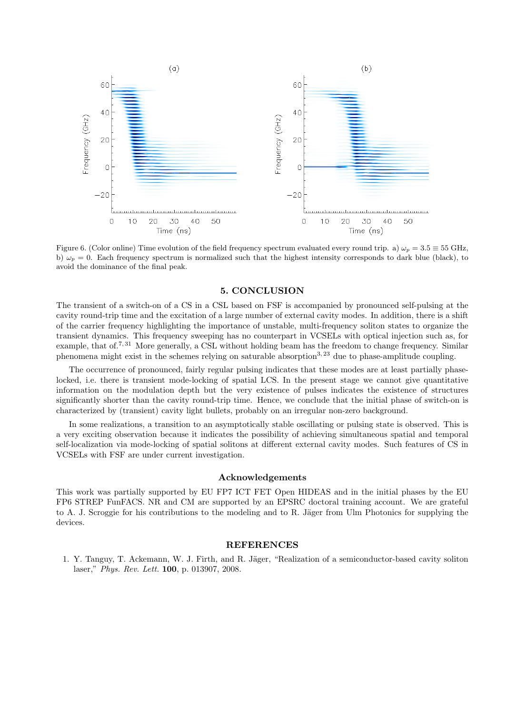

Figure 6. (Color online) Time evolution of the field frequency spectrum evaluated every round trip. a)  $\omega_p = 3.5 \equiv 55$  GHz, b)  $\omega_p = 0$ . Each frequency spectrum is normalized such that the highest intensity corresponds to dark blue (black), to avoid the dominance of the final peak.

### 5. CONCLUSION

The transient of a switch-on of a CS in a CSL based on FSF is accompanied by pronounced self-pulsing at the cavity round-trip time and the excitation of a large number of external cavity modes. In addition, there is a shift of the carrier frequency highlighting the importance of unstable, multi-frequency soliton states to organize the transient dynamics. This frequency sweeping has no counterpart in VCSELs with optical injection such as, for example, that of.<sup>7,31</sup> More generally, a CSL without holding beam has the freedom to change frequency. Similar phenomena might exist in the schemes relying on saturable absorption<sup>3, 23</sup> due to phase-amplitude coupling.

The occurrence of pronounced, fairly regular pulsing indicates that these modes are at least partially phaselocked, i.e. there is transient mode-locking of spatial LCS. In the present stage we cannot give quantitative information on the modulation depth but the very existence of pulses indicates the existence of structures significantly shorter than the cavity round-trip time. Hence, we conclude that the initial phase of switch-on is characterized by (transient) cavity light bullets, probably on an irregular non-zero background.

In some realizations, a transition to an asymptotically stable oscillating or pulsing state is observed. This is a very exciting observation because it indicates the possibility of achieving simultaneous spatial and temporal self-localization via mode-locking of spatial solitons at different external cavity modes. Such features of CS in VCSELs with FSF are under current investigation.

#### Acknowledgements

This work was partially supported by EU FP7 ICT FET Open HIDEAS and in the initial phases by the EU FP6 STREP FunFACS. NR and CM are supported by an EPSRC doctoral training account. We are grateful to A. J. Scroggie for his contributions to the modeling and to R. Jäger from Ulm Photonics for supplying the devices.

### REFERENCES

1. Y. Tanguy, T. Ackemann, W. J. Firth, and R. J¨ager, "Realization of a semiconductor-based cavity soliton laser," Phys. Rev. Lett. 100, p. 013907, 2008.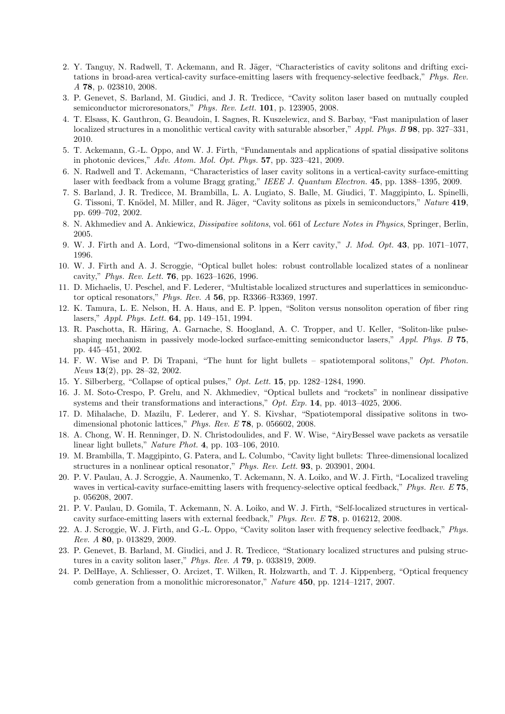- 2. Y. Tanguy, N. Radwell, T. Ackemann, and R. Jäger, "Characteristics of cavity solitons and drifting excitations in broad-area vertical-cavity surface-emitting lasers with frequency-selective feedback," Phys. Rev. A 78, p. 023810, 2008.
- 3. P. Genevet, S. Barland, M. Giudici, and J. R. Tredicce, "Cavity soliton laser based on mutually coupled semiconductor microresonators," Phys. Rev. Lett. 101, p. 123905, 2008.
- 4. T. Elsass, K. Gauthron, G. Beaudoin, I. Sagnes, R. Kuszelewicz, and S. Barbay, "Fast manipulation of laser localized structures in a monolithic vertical cavity with saturable absorber," Appl. Phys. B 98, pp. 327–331, 2010.
- 5. T. Ackemann, G.-L. Oppo, and W. J. Firth, "Fundamentals and applications of spatial dissipative solitons in photonic devices," Adv. Atom. Mol. Opt. Phys. 57, pp. 323–421, 2009.
- 6. N. Radwell and T. Ackemann, "Characteristics of laser cavity solitons in a vertical-cavity surface-emitting laser with feedback from a volume Bragg grating," IEEE J. Quantum Electron. 45, pp. 1388–1395, 2009.
- 7. S. Barland, J. R. Tredicce, M. Brambilla, L. A. Lugiato, S. Balle, M. Giudici, T. Maggipinto, L. Spinelli, G. Tissoni, T. Knödel, M. Miller, and R. Jäger, "Cavity solitons as pixels in semiconductors," Nature 419, pp. 699–702, 2002.
- 8. N. Akhmediev and A. Ankiewicz, Dissipative solitons, vol. 661 of Lecture Notes in Physics, Springer, Berlin, 2005.
- 9. W. J. Firth and A. Lord, "Two-dimensional solitons in a Kerr cavity," J. Mod. Opt. 43, pp. 1071–1077, 1996.
- 10. W. J. Firth and A. J. Scroggie, "Optical bullet holes: robust controllable localized states of a nonlinear cavity," Phys. Rev. Lett. 76, pp. 1623–1626, 1996.
- 11. D. Michaelis, U. Peschel, and F. Lederer, "Multistable localized structures and superlattices in semiconductor optical resonators," Phys. Rev.  $A$  56, pp. R3366–R3369, 1997.
- 12. K. Tamura, L. E. Nelson, H. A. Haus, and E. P. lppen, "Soliton versus nonsoliton operation of fiber ring lasers," *Appl. Phys. Lett.* **64**, pp. 149–151, 1994.
- 13. R. Paschotta, R. Häring, A. Garnache, S. Hoogland, A. C. Tropper, and U. Keller, "Soliton-like pulseshaping mechanism in passively mode-locked surface-emitting semiconductor lasers," Appl. Phys. B 75, pp. 445–451, 2002.
- 14. F. W. Wise and P. Di Trapani, "The hunt for light bullets spatiotemporal solitons," Opt. Photon. News 13(2), pp. 28–32, 2002.
- 15. Y. Silberberg, "Collapse of optical pulses," Opt. Lett. 15, pp. 1282–1284, 1990.
- 16. J. M. Soto-Crespo, P. Grelu, and N. Akhmediev, "Optical bullets and "rockets" in nonlinear dissipative systems and their transformations and interactions," Opt. Exp. 14, pp. 4013-4025, 2006.
- 17. D. Mihalache, D. Mazilu, F. Lederer, and Y. S. Kivshar, "Spatiotemporal dissipative solitons in twodimensional photonic lattices," Phys. Rev. E 78, p. 056602, 2008.
- 18. A. Chong, W. H. Renninger, D. N. Christodoulides, and F. W. Wise, "AiryBessel wave packets as versatile linear light bullets," Nature Phot. 4, pp. 103–106, 2010.
- 19. M. Brambilla, T. Maggipinto, G. Patera, and L. Columbo, "Cavity light bullets: Three-dimensional localized structures in a nonlinear optical resonator," Phys. Rev. Lett. 93, p. 203901, 2004.
- 20. P. V. Paulau, A. J. Scroggie, A. Naumenko, T. Ackemann, N. A. Loiko, and W. J. Firth, "Localized traveling waves in vertical-cavity surface-emitting lasers with frequency-selective optical feedback," Phys. Rev. E 75, p. 056208, 2007.
- 21. P. V. Paulau, D. Gomila, T. Ackemann, N. A. Loiko, and W. J. Firth, "Self-localized structures in verticalcavity surface-emitting lasers with external feedback," Phys. Rev. E 78, p. 016212, 2008.
- 22. A. J. Scroggie, W. J. Firth, and G.-L. Oppo, "Cavity soliton laser with frequency selective feedback," Phys. Rev. A 80, p. 013829, 2009.
- 23. P. Genevet, B. Barland, M. Giudici, and J. R. Tredicce, "Stationary localized structures and pulsing structures in a cavity soliton laser," Phys. Rev. A 79, p. 033819, 2009.
- 24. P. DelHaye, A. Schliesser, O. Arcizet, T. Wilken, R. Holzwarth, and T. J. Kippenberg, "Optical frequency comb generation from a monolithic microresonator," Nature 450, pp. 1214–1217, 2007.